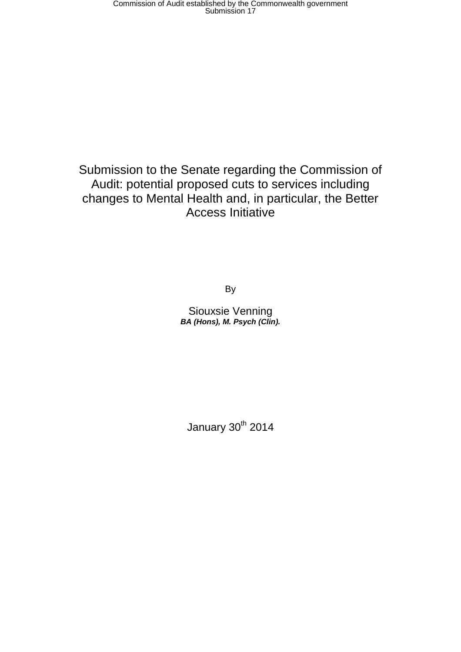Submission to the Senate regarding the Commission of Audit: potential proposed cuts to services including changes to Mental Health and, in particular, the Better Access Initiative

By

Siouxsie Venning *BA (Hons), M. Psych (Clin).*

January 30<sup>th</sup> 2014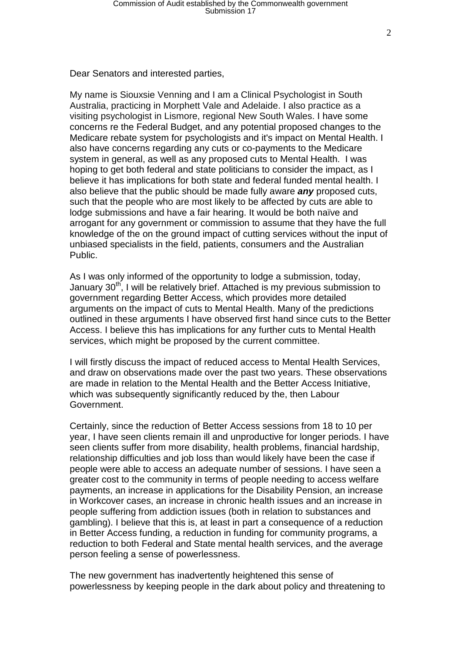Dear Senators and interested parties,

My name is Siouxsie Venning and I am a Clinical Psychologist in South Australia, practicing in Morphett Vale and Adelaide. I also practice as a visiting psychologist in Lismore, regional New South Wales. I have some concerns re the Federal Budget, and any potential proposed changes to the Medicare rebate system for psychologists and it's impact on Mental Health. I also have concerns regarding any cuts or co-payments to the Medicare system in general, as well as any proposed cuts to Mental Health. I was hoping to get both federal and state politicians to consider the impact, as I believe it has implications for both state and federal funded mental health. I also believe that the public should be made fully aware *any* proposed cuts, such that the people who are most likely to be affected by cuts are able to lodge submissions and have a fair hearing. It would be both naïve and arrogant for any government or commission to assume that they have the full knowledge of the on the ground impact of cutting services without the input of unbiased specialists in the field, patients, consumers and the Australian Public.

As I was only informed of the opportunity to lodge a submission, today, January 30<sup>th</sup>, I will be relatively brief. Attached is my previous submission to government regarding Better Access, which provides more detailed arguments on the impact of cuts to Mental Health. Many of the predictions outlined in these arguments I have observed first hand since cuts to the Better Access. I believe this has implications for any further cuts to Mental Health services, which might be proposed by the current committee.

I will firstly discuss the impact of reduced access to Mental Health Services, and draw on observations made over the past two years. These observations are made in relation to the Mental Health and the Better Access Initiative, which was subsequently significantly reduced by the, then Labour Government.

Certainly, since the reduction of Better Access sessions from 18 to 10 per year, I have seen clients remain ill and unproductive for longer periods. I have seen clients suffer from more disability, health problems, financial hardship, relationship difficulties and job loss than would likely have been the case if people were able to access an adequate number of sessions. I have seen a greater cost to the community in terms of people needing to access welfare payments, an increase in applications for the Disability Pension, an increase in Workcover cases, an increase in chronic health issues and an increase in people suffering from addiction issues (both in relation to substances and gambling). I believe that this is, at least in part a consequence of a reduction in Better Access funding, a reduction in funding for community programs, a reduction to both Federal and State mental health services, and the average person feeling a sense of powerlessness.

The new government has inadvertently heightened this sense of powerlessness by keeping people in the dark about policy and threatening to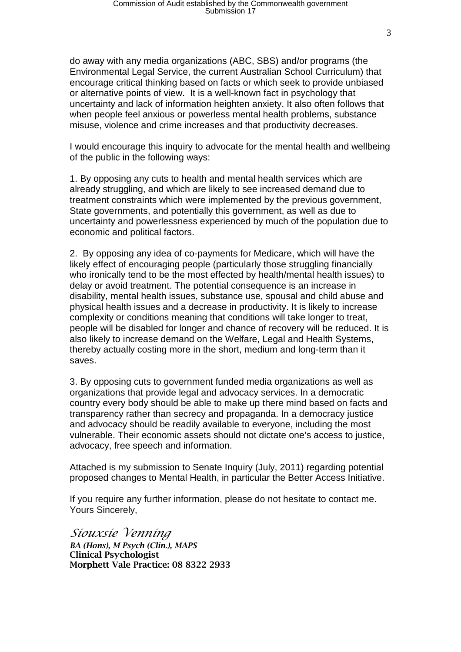do away with any media organizations (ABC, SBS) and/or programs (the Environmental Legal Service, the current Australian School Curriculum) that encourage critical thinking based on facts or which seek to provide unbiased or alternative points of view. It is a well-known fact in psychology that uncertainty and lack of information heighten anxiety. It also often follows that when people feel anxious or powerless mental health problems, substance misuse, violence and crime increases and that productivity decreases.

I would encourage this inquiry to advocate for the mental health and wellbeing of the public in the following ways:

1. By opposing any cuts to health and mental health services which are already struggling, and which are likely to see increased demand due to treatment constraints which were implemented by the previous government, State governments, and potentially this government, as well as due to uncertainty and powerlessness experienced by much of the population due to economic and political factors.

2. By opposing any idea of co-payments for Medicare, which will have the likely effect of encouraging people (particularly those struggling financially who ironically tend to be the most effected by health/mental health issues) to delay or avoid treatment. The potential consequence is an increase in disability, mental health issues, substance use, spousal and child abuse and physical health issues and a decrease in productivity. It is likely to increase complexity or conditions meaning that conditions will take longer to treat, people will be disabled for longer and chance of recovery will be reduced. It is also likely to increase demand on the Welfare, Legal and Health Systems, thereby actually costing more in the short, medium and long-term than it saves.

3. By opposing cuts to government funded media organizations as well as organizations that provide legal and advocacy services. In a democratic country every body should be able to make up there mind based on facts and transparency rather than secrecy and propaganda. In a democracy justice and advocacy should be readily available to everyone, including the most vulnerable. Their economic assets should not dictate one's access to justice, advocacy, free speech and information.

Attached is my submission to Senate Inquiry (July, 2011) regarding potential proposed changes to Mental Health, in particular the Better Access Initiative.

If you require any further information, please do not hesitate to contact me. Yours Sincerely,

*Siouxsie Venning BA (Hons), M Psych (Clin.), MAPS* Clinical Psychologist Morphett Vale Practice: 08 8322 2933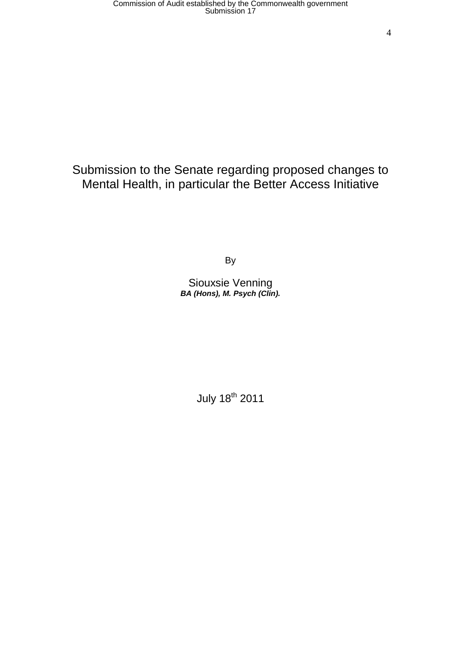# Submission to the Senate regarding proposed changes to Mental Health, in particular the Better Access Initiative

By

Siouxsie Venning *BA (Hons), M. Psych (Clin).*

July 18<sup>th</sup> 2011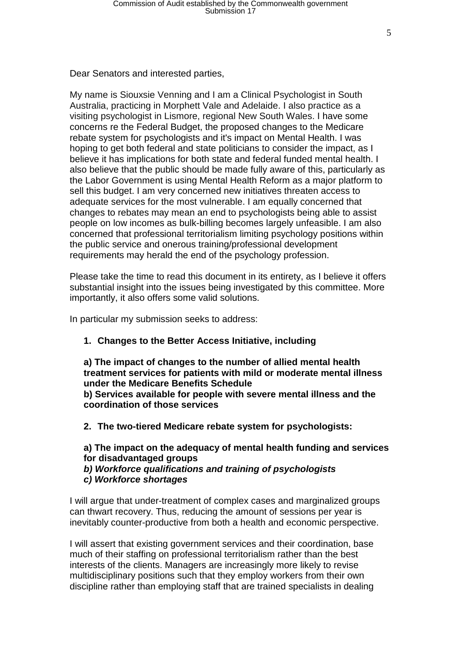Dear Senators and interested parties,

My name is Siouxsie Venning and I am a Clinical Psychologist in South Australia, practicing in Morphett Vale and Adelaide. I also practice as a visiting psychologist in Lismore, regional New South Wales. I have some concerns re the Federal Budget, the proposed changes to the Medicare rebate system for psychologists and it's impact on Mental Health. I was hoping to get both federal and state politicians to consider the impact, as I believe it has implications for both state and federal funded mental health. I also believe that the public should be made fully aware of this, particularly as the Labor Government is using Mental Health Reform as a major platform to sell this budget. I am very concerned new initiatives threaten access to adequate services for the most vulnerable. I am equally concerned that changes to rebates may mean an end to psychologists being able to assist people on low incomes as bulk-billing becomes largely unfeasible. I am also concerned that professional territorialism limiting psychology positions within the public service and onerous training/professional development requirements may herald the end of the psychology profession.

Please take the time to read this document in its entirety, as I believe it offers substantial insight into the issues being investigated by this committee. More importantly, it also offers some valid solutions.

In particular my submission seeks to address:

### **1. Changes to the Better Access Initiative, including**

**a) The impact of changes to the number of allied mental health treatment services for patients with mild or moderate mental illness under the Medicare Benefits Schedule b) Services available for people with severe mental illness and the coordination of those services**

**2. The two-tiered Medicare rebate system for psychologists:**

**a) The impact on the adequacy of mental health funding and services for disadvantaged groups**

*b) Workforce qualifications and training of psychologists*

*c) Workforce shortages*

I will argue that under-treatment of complex cases and marginalized groups can thwart recovery. Thus, reducing the amount of sessions per year is inevitably counter-productive from both a health and economic perspective.

I will assert that existing government services and their coordination, base much of their staffing on professional territorialism rather than the best interests of the clients. Managers are increasingly more likely to revise multidisciplinary positions such that they employ workers from their own discipline rather than employing staff that are trained specialists in dealing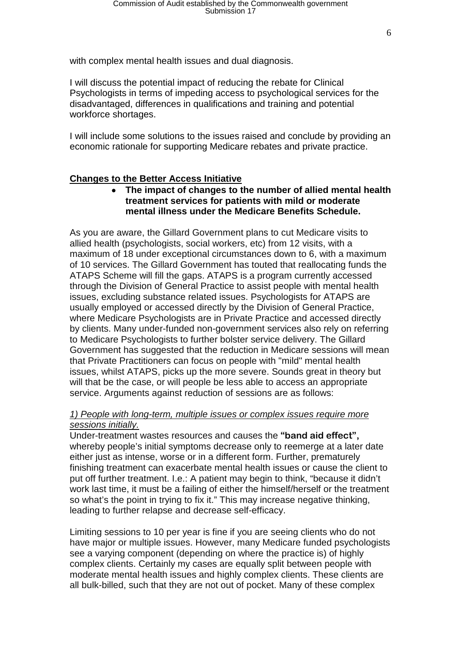with complex mental health issues and dual diagnosis.

I will discuss the potential impact of reducing the rebate for Clinical Psychologists in terms of impeding access to psychological services for the disadvantaged, differences in qualifications and training and potential workforce shortages.

I will include some solutions to the issues raised and conclude by providing an economic rationale for supporting Medicare rebates and private practice.

#### **Changes to the Better Access Initiative**

• **The impact of changes to the number of allied mental health treatment services for patients with mild or moderate mental illness under the Medicare Benefits Schedule.**

As you are aware, the Gillard Government plans to cut Medicare visits to allied health (psychologists, social workers, etc) from 12 visits, with a maximum of 18 under exceptional circumstances down to 6, with a maximum of 10 services. The Gillard Government has touted that reallocating funds the ATAPS Scheme will fill the gaps. ATAPS is a program currently accessed through the Division of General Practice to assist people with mental health issues, excluding substance related issues. Psychologists for ATAPS are usually employed or accessed directly by the Division of General Practice, where Medicare Psychologists are in Private Practice and accessed directly by clients. Many under-funded non-government services also rely on referring to Medicare Psychologists to further bolster service delivery. The Gillard Government has suggested that the reduction in Medicare sessions will mean that Private Practitioners can focus on people with "mild" mental health issues, whilst ATAPS, picks up the more severe. Sounds great in theory but will that be the case, or will people be less able to access an appropriate service. Arguments against reduction of sessions are as follows:

#### *1) People with long-term, multiple issues or complex issues require more sessions initially.*

Under-treatment wastes resources and causes the **"band aid effect",** whereby people's initial symptoms decrease only to reemerge at a later date either just as intense, worse or in a different form. Further, prematurely finishing treatment can exacerbate mental health issues or cause the client to put off further treatment. I.e.: A patient may begin to think, "because it didn't work last time, it must be a failing of either the himself/herself or the treatment so what's the point in trying to fix it." This may increase negative thinking, leading to further relapse and decrease self-efficacy.

Limiting sessions to 10 per year is fine if you are seeing clients who do not have major or multiple issues. However, many Medicare funded psychologists see a varying component (depending on where the practice is) of highly complex clients. Certainly my cases are equally split between people with moderate mental health issues and highly complex clients. These clients are all bulk-billed, such that they are not out of pocket. Many of these complex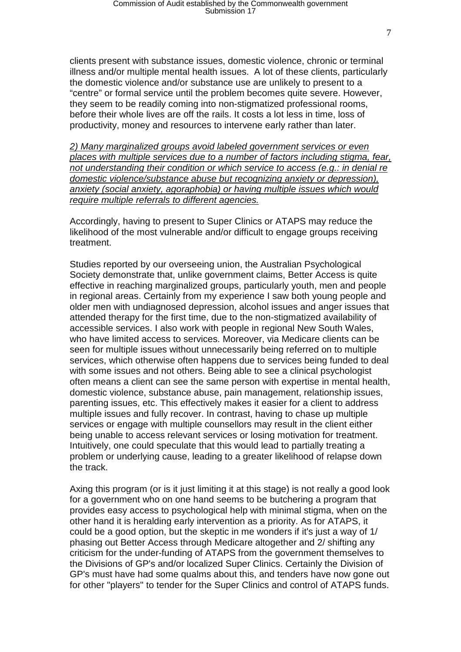clients present with substance issues, domestic violence, chronic or terminal illness and/or multiple mental health issues. A lot of these clients, particularly the domestic violence and/or substance use are unlikely to present to a "centre" or formal service until the problem becomes quite severe. However, they seem to be readily coming into non-stigmatized professional rooms, before their whole lives are off the rails. It costs a lot less in time, loss of productivity, money and resources to intervene early rather than later.

*2) Many marginalized groups avoid labeled government services or even places with multiple services due to a number of factors including stigma, fear, not understanding their condition or which service to access (e.g.: in denial re domestic violence/substance abuse but recognizing anxiety or depression), anxiety (social anxiety, agoraphobia) or having multiple issues which would require multiple referrals to different agencies.* 

Accordingly, having to present to Super Clinics or ATAPS may reduce the likelihood of the most vulnerable and/or difficult to engage groups receiving treatment.

Studies reported by our overseeing union, the Australian Psychological Society demonstrate that, unlike government claims, Better Access is quite effective in reaching marginalized groups, particularly youth, men and people in regional areas. Certainly from my experience I saw both young people and older men with undiagnosed depression, alcohol issues and anger issues that attended therapy for the first time, due to the non-stigmatized availability of accessible services. I also work with people in regional New South Wales, who have limited access to services. Moreover, via Medicare clients can be seen for multiple issues without unnecessarily being referred on to multiple services, which otherwise often happens due to services being funded to deal with some issues and not others. Being able to see a clinical psychologist often means a client can see the same person with expertise in mental health, domestic violence, substance abuse, pain management, relationship issues, parenting issues, etc. This effectively makes it easier for a client to address multiple issues and fully recover. In contrast, having to chase up multiple services or engage with multiple counsellors may result in the client either being unable to access relevant services or losing motivation for treatment. Intuitively, one could speculate that this would lead to partially treating a problem or underlying cause, leading to a greater likelihood of relapse down the track.

Axing this program (or is it just limiting it at this stage) is not really a good look for a government who on one hand seems to be butchering a program that provides easy access to psychological help with minimal stigma, when on the other hand it is heralding early intervention as a priority. As for ATAPS, it could be a good option, but the skeptic in me wonders if it's just a way of 1/ phasing out Better Access through Medicare altogether and 2/ shifting any criticism for the under-funding of ATAPS from the government themselves to the Divisions of GP's and/or localized Super Clinics. Certainly the Division of GP's must have had some qualms about this, and tenders have now gone out for other "players" to tender for the Super Clinics and control of ATAPS funds.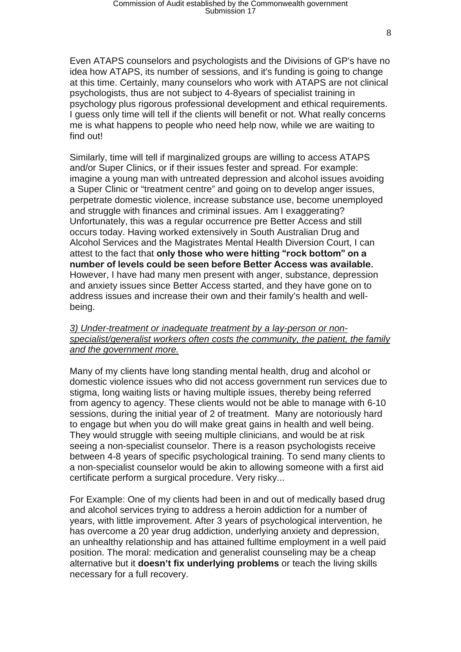Even ATAPS counselors and psychologists and the Divisions of GP's have no idea how ATAPS, its number of sessions, and it's funding is going to change at this time. Certainly, many counselors who work with ATAPS are not clinical psychologists, thus are not subject to 4-8years of specialist training in psychology plus rigorous professional development and ethical requirements. I guess only time will tell if the clients will benefit or not. What really concerns me is what happens to people who need help now, while we are waiting to find out!

Similarly, time will tell if marginalized groups are willing to access ATAPS and/or Super Clinics, or if their issues fester and spread. For example: imagine a young man with untreated depression and alcohol issues avoiding a Super Clinic or "treatment centre" and going on to develop anger issues, perpetrate domestic violence, increase substance use, become unemployed and struggle with finances and criminal issues. Am I exaggerating? Unfortunately, this was a regular occurrence pre Better Access and still occurs today. Having worked extensively in South Australian Drug and Alcohol Services and the Magistrates Mental Health Diversion Court, I can attest to the fact that **only those who were hitting "rock bottom" on a number of levels could be seen before Better Access was available.** However, I have had many men present with anger, substance, depression and anxiety issues since Better Access started, and they have gone on to address issues and increase their own and their family's health and wellbeing.

#### *3) Under-treatment or inadequate treatment by a lay-person or nonspecialist/generalist workers often costs the community, the patient, the family and the government more.*

Many of my clients have long standing mental health, drug and alcohol or domestic violence issues who did not access government run services due to stigma, long waiting lists or having multiple issues, thereby being referred from agency to agency. These clients would not be able to manage with 6-10 sessions, during the initial year of 2 of treatment. Many are notoriously hard to engage but when you do will make great gains in health and well being. They would struggle with seeing multiple clinicians, and would be at risk seeing a non-specialist counselor. There is a reason psychologists receive between 4-8 years of specific psychological training. To send many clients to a non-specialist counselor would be akin to allowing someone with a first aid certificate perform a surgical procedure. Very risky...

For Example: One of my clients had been in and out of medically based drug and alcohol services trying to address a heroin addiction for a number of years, with little improvement. After 3 years of psychological intervention, he has overcome a 20 year drug addiction, underlying anxiety and depression, an unhealthy relationship and has attained fulltime employment in a well paid position. The moral: medication and generalist counseling may be a cheap alternative but it **doesn't fix underlying problems** or teach the living skills necessary for a full recovery.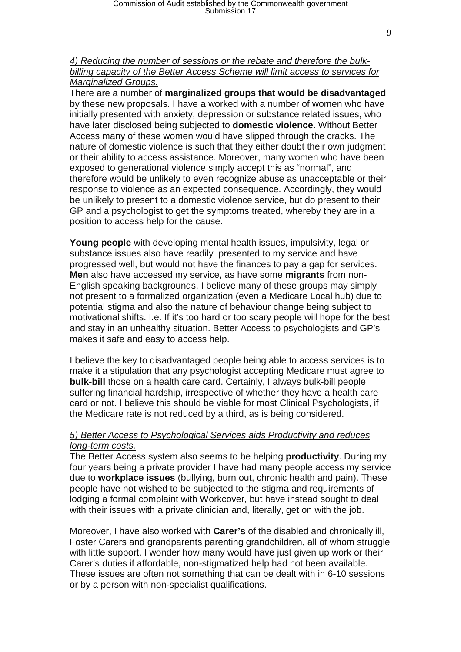#### *4) Reducing the number of sessions or the rebate and therefore the bulkbilling capacity of the Better Access Scheme will limit access to services for Marginalized Groups.*

There are a number of **marginalized groups that would be disadvantaged** by these new proposals. I have a worked with a number of women who have initially presented with anxiety, depression or substance related issues, who have later disclosed being subjected to **domestic violence**. Without Better Access many of these women would have slipped through the cracks. The nature of domestic violence is such that they either doubt their own judgment or their ability to access assistance. Moreover, many women who have been exposed to generational violence simply accept this as "normal", and therefore would be unlikely to even recognize abuse as unacceptable or their response to violence as an expected consequence. Accordingly, they would be unlikely to present to a domestic violence service, but do present to their GP and a psychologist to get the symptoms treated, whereby they are in a position to access help for the cause.

**Young people** with developing mental health issues, impulsivity, legal or substance issues also have readily presented to my service and have progressed well, but would not have the finances to pay a gap for services. **Men** also have accessed my service, as have some **migrants** from non-English speaking backgrounds. I believe many of these groups may simply not present to a formalized organization (even a Medicare Local hub) due to potential stigma and also the nature of behaviour change being subject to motivational shifts. I.e. If it's too hard or too scary people will hope for the best and stay in an unhealthy situation. Better Access to psychologists and GP's makes it safe and easy to access help.

I believe the key to disadvantaged people being able to access services is to make it a stipulation that any psychologist accepting Medicare must agree to **bulk-bill** those on a health care card. Certainly, I always bulk-bill people suffering financial hardship, irrespective of whether they have a health care card or not. I believe this should be viable for most Clinical Psychologists, if the Medicare rate is not reduced by a third, as is being considered.

#### *5) Better Access to Psychological Services aids Productivity and reduces long-term costs.*

The Better Access system also seems to be helping **productivity**. During my four years being a private provider I have had many people access my service due to **workplace issues** (bullying, burn out, chronic health and pain). These people have not wished to be subjected to the stigma and requirements of lodging a formal complaint with Workcover, but have instead sought to deal with their issues with a private clinician and, literally, get on with the job.

Moreover, I have also worked with **Carer's** of the disabled and chronically ill, Foster Carers and grandparents parenting grandchildren, all of whom struggle with little support. I wonder how many would have just given up work or their Carer's duties if affordable, non-stigmatized help had not been available. These issues are often not something that can be dealt with in 6-10 sessions or by a person with non-specialist qualifications.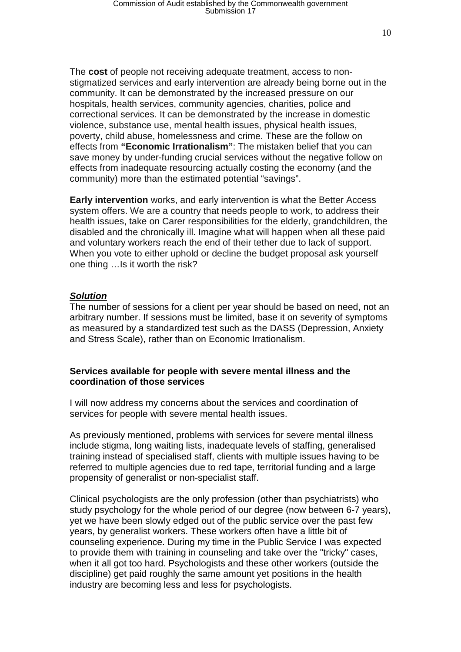The **cost** of people not receiving adequate treatment, access to nonstigmatized services and early intervention are already being borne out in the community. It can be demonstrated by the increased pressure on our hospitals, health services, community agencies, charities, police and correctional services. It can be demonstrated by the increase in domestic violence, substance use, mental health issues, physical health issues, poverty, child abuse, homelessness and crime. These are the follow on effects from **"Economic Irrationalism"**: The mistaken belief that you can save money by under-funding crucial services without the negative follow on effects from inadequate resourcing actually costing the economy (and the community) more than the estimated potential "savings".

**Early intervention** works, and early intervention is what the Better Access system offers. We are a country that needs people to work, to address their health issues, take on Carer responsibilities for the elderly, grandchildren, the disabled and the chronically ill. Imagine what will happen when all these paid and voluntary workers reach the end of their tether due to lack of support. When you vote to either uphold or decline the budget proposal ask yourself one thing …Is it worth the risk?

#### *Solution*

The number of sessions for a client per year should be based on need, not an arbitrary number. If sessions must be limited, base it on severity of symptoms as measured by a standardized test such as the DASS (Depression, Anxiety and Stress Scale), rather than on Economic Irrationalism.

#### **Services available for people with severe mental illness and the coordination of those services**

I will now address my concerns about the services and coordination of services for people with severe mental health issues.

As previously mentioned, problems with services for severe mental illness include stigma, long waiting lists, inadequate levels of staffing, generalised training instead of specialised staff, clients with multiple issues having to be referred to multiple agencies due to red tape, territorial funding and a large propensity of generalist or non-specialist staff.

Clinical psychologists are the only profession (other than psychiatrists) who study psychology for the whole period of our degree (now between 6-7 years), yet we have been slowly edged out of the public service over the past few years, by generalist workers. These workers often have a little bit of counseling experience. During my time in the Public Service I was expected to provide them with training in counseling and take over the "tricky" cases, when it all got too hard. Psychologists and these other workers (outside the discipline) get paid roughly the same amount yet positions in the health industry are becoming less and less for psychologists.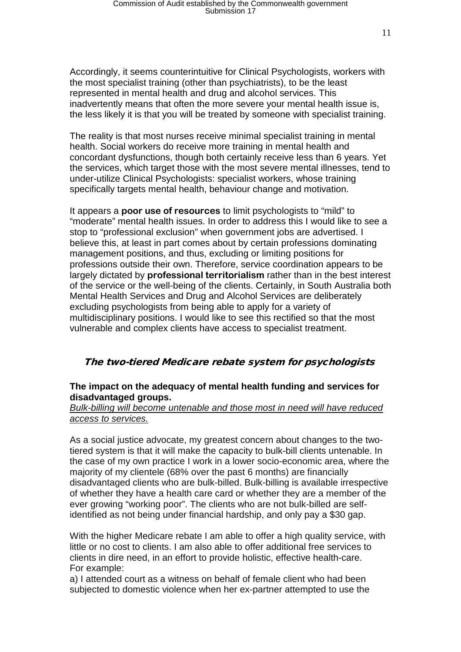Accordingly, it seems counterintuitive for Clinical Psychologists, workers with the most specialist training (other than psychiatrists), to be the least represented in mental health and drug and alcohol services. This inadvertently means that often the more severe your mental health issue is, the less likely it is that you will be treated by someone with specialist training.

The reality is that most nurses receive minimal specialist training in mental health. Social workers do receive more training in mental health and concordant dysfunctions, though both certainly receive less than 6 years. Yet the services, which target those with the most severe mental illnesses, tend to under-utilize Clinical Psychologists: specialist workers, whose training specifically targets mental health, behaviour change and motivation.

It appears a **poor use of resources** to limit psychologists to "mild" to "moderate" mental health issues. In order to address this I would like to see a stop to "professional exclusion" when government jobs are advertised. I believe this, at least in part comes about by certain professions dominating management positions, and thus, excluding or limiting positions for professions outside their own. Therefore, service coordination appears to be largely dictated by **professional territorialism** rather than in the best interest of the service or the well-being of the clients. Certainly, in South Australia both Mental Health Services and Drug and Alcohol Services are deliberately excluding psychologists from being able to apply for a variety of multidisciplinary positions. I would like to see this rectified so that the most vulnerable and complex clients have access to specialist treatment.

## The two-tiered Medicare rebate system for psychologists

## **The impact on the adequacy of mental health funding and services for disadvantaged groups.**

### *Bulk-billing will become untenable and those most in need will have reduced access to services.*

As a social justice advocate, my greatest concern about changes to the twotiered system is that it will make the capacity to bulk-bill clients untenable. In the case of my own practice I work in a lower socio-economic area, where the majority of my clientele (68% over the past 6 months) are financially disadvantaged clients who are bulk-billed. Bulk-billing is available irrespective of whether they have a health care card or whether they are a member of the ever growing "working poor". The clients who are not bulk-billed are selfidentified as not being under financial hardship, and only pay a \$30 gap.

With the higher Medicare rebate I am able to offer a high quality service, with little or no cost to clients. I am also able to offer additional free services to clients in dire need, in an effort to provide holistic, effective health-care. For example:

a) I attended court as a witness on behalf of female client who had been subjected to domestic violence when her ex-partner attempted to use the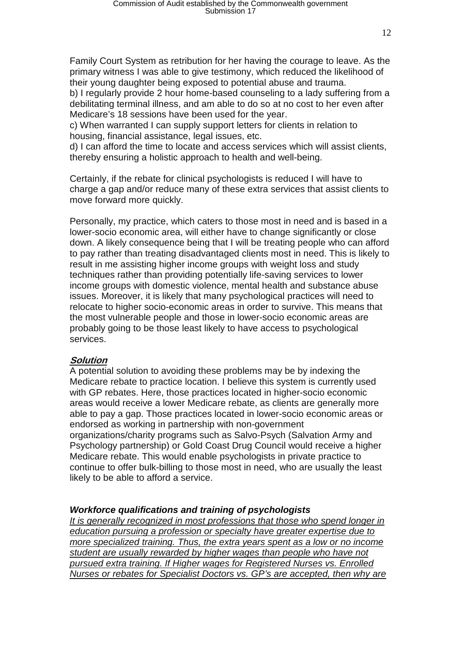Family Court System as retribution for her having the courage to leave. As the primary witness I was able to give testimony, which reduced the likelihood of their young daughter being exposed to potential abuse and trauma.

b) I regularly provide 2 hour home-based counseling to a lady suffering from a debilitating terminal illness, and am able to do so at no cost to her even after Medicare's 18 sessions have been used for the year.

c) When warranted I can supply support letters for clients in relation to housing, financial assistance, legal issues, etc.

d) I can afford the time to locate and access services which will assist clients, thereby ensuring a holistic approach to health and well-being.

Certainly, if the rebate for clinical psychologists is reduced I will have to charge a gap and/or reduce many of these extra services that assist clients to move forward more quickly.

Personally, my practice, which caters to those most in need and is based in a lower-socio economic area, will either have to change significantly or close down. A likely consequence being that I will be treating people who can afford to pay rather than treating disadvantaged clients most in need. This is likely to result in me assisting higher income groups with weight loss and study techniques rather than providing potentially life-saving services to lower income groups with domestic violence, mental health and substance abuse issues. Moreover, it is likely that many psychological practices will need to relocate to higher socio-economic areas in order to survive. This means that the most vulnerable people and those in lower-socio economic areas are probably going to be those least likely to have access to psychological services.

### **Solution**

A potential solution to avoiding these problems may be by indexing the Medicare rebate to practice location. I believe this system is currently used with GP rebates. Here, those practices located in higher-socio economic areas would receive a lower Medicare rebate, as clients are generally more able to pay a gap. Those practices located in lower-socio economic areas or endorsed as working in partnership with non-government organizations/charity programs such as Salvo-Psych (Salvation Army and Psychology partnership) or Gold Coast Drug Council would receive a higher Medicare rebate. This would enable psychologists in private practice to continue to offer bulk-billing to those most in need, who are usually the least likely to be able to afford a service.

### *Workforce qualifications and training of psychologists*

*It is generally recognized in most professions that those who spend longer in education pursuing a profession or specialty have greater expertise due to more specialized training. Thus, the extra years spent as a low or no income student are usually rewarded by higher wages than people who have not pursued extra training. If Higher wages for Registered Nurses vs. Enrolled Nurses or rebates for Specialist Doctors vs. GP's are accepted, then why are*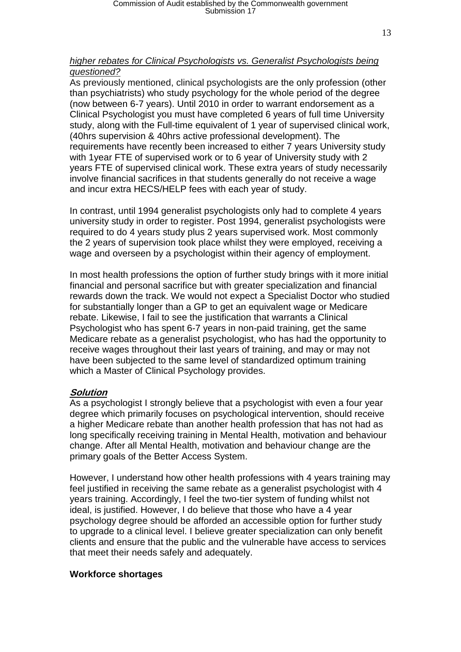### *higher rebates for Clinical Psychologists vs. Generalist Psychologists being questioned?*

As previously mentioned, clinical psychologists are the only profession (other than psychiatrists) who study psychology for the whole period of the degree (now between 6-7 years). Until 2010 in order to warrant endorsement as a Clinical Psychologist you must have completed 6 years of full time University study, along with the Full-time equivalent of 1 year of supervised clinical work, (40hrs supervision & 40hrs active professional development). The requirements have recently been increased to either 7 years University study with 1year FTE of supervised work or to 6 year of University study with 2 years FTE of supervised clinical work. These extra years of study necessarily involve financial sacrifices in that students generally do not receive a wage and incur extra HECS/HELP fees with each year of study.

In contrast, until 1994 generalist psychologists only had to complete 4 years university study in order to register. Post 1994, generalist psychologists were required to do 4 years study plus 2 years supervised work. Most commonly the 2 years of supervision took place whilst they were employed, receiving a wage and overseen by a psychologist within their agency of employment.

In most health professions the option of further study brings with it more initial financial and personal sacrifice but with greater specialization and financial rewards down the track. We would not expect a Specialist Doctor who studied for substantially longer than a GP to get an equivalent wage or Medicare rebate. Likewise, I fail to see the justification that warrants a Clinical Psychologist who has spent 6-7 years in non-paid training, get the same Medicare rebate as a generalist psychologist, who has had the opportunity to receive wages throughout their last years of training, and may or may not have been subjected to the same level of standardized optimum training which a Master of Clinical Psychology provides.

### **Solution**

As a psychologist I strongly believe that a psychologist with even a four year degree which primarily focuses on psychological intervention, should receive a higher Medicare rebate than another health profession that has not had as long specifically receiving training in Mental Health, motivation and behaviour change. After all Mental Health, motivation and behaviour change are the primary goals of the Better Access System.

However, I understand how other health professions with 4 years training may feel justified in receiving the same rebate as a generalist psychologist with 4 years training. Accordingly, I feel the two-tier system of funding whilst not ideal, is justified. However, I do believe that those who have a 4 year psychology degree should be afforded an accessible option for further study to upgrade to a clinical level. I believe greater specialization can only benefit clients and ensure that the public and the vulnerable have access to services that meet their needs safely and adequately.

### **Workforce shortages**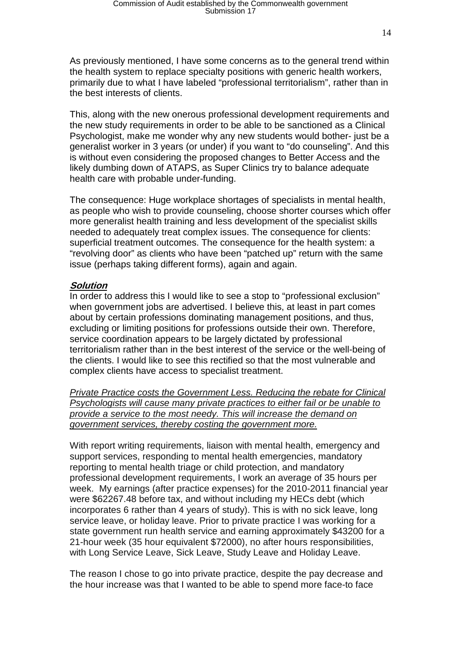14

As previously mentioned, I have some concerns as to the general trend within the health system to replace specialty positions with generic health workers, primarily due to what I have labeled "professional territorialism", rather than in the best interests of clients.

This, along with the new onerous professional development requirements and the new study requirements in order to be able to be sanctioned as a Clinical Psychologist, make me wonder why any new students would bother- just be a generalist worker in 3 years (or under) if you want to "do counseling". And this is without even considering the proposed changes to Better Access and the likely dumbing down of ATAPS, as Super Clinics try to balance adequate health care with probable under-funding.

The consequence: Huge workplace shortages of specialists in mental health, as people who wish to provide counseling, choose shorter courses which offer more generalist health training and less development of the specialist skills needed to adequately treat complex issues. The consequence for clients: superficial treatment outcomes. The consequence for the health system: a "revolving door" as clients who have been "patched up" return with the same issue (perhaps taking different forms), again and again.

## **Solution**

In order to address this I would like to see a stop to "professional exclusion" when government jobs are advertised. I believe this, at least in part comes about by certain professions dominating management positions, and thus, excluding or limiting positions for professions outside their own. Therefore, service coordination appears to be largely dictated by professional territorialism rather than in the best interest of the service or the well-being of the clients. I would like to see this rectified so that the most vulnerable and complex clients have access to specialist treatment.

*Private Practice costs the Government Less. Reducing the rebate for Clinical Psychologists will cause many private practices to either fail or be unable to provide a service to the most needy. This will increase the demand on government services, thereby costing the government more.* 

With report writing requirements, liaison with mental health, emergency and support services, responding to mental health emergencies, mandatory reporting to mental health triage or child protection, and mandatory professional development requirements, I work an average of 35 hours per week. My earnings (after practice expenses) for the 2010-2011 financial year were \$62267.48 before tax, and without including my HECs debt (which incorporates 6 rather than 4 years of study). This is with no sick leave, long service leave, or holiday leave. Prior to private practice I was working for a state government run health service and earning approximately \$43200 for a 21-hour week (35 hour equivalent \$72000), no after hours responsibilities, with Long Service Leave, Sick Leave, Study Leave and Holiday Leave.

The reason I chose to go into private practice, despite the pay decrease and the hour increase was that I wanted to be able to spend more face-to face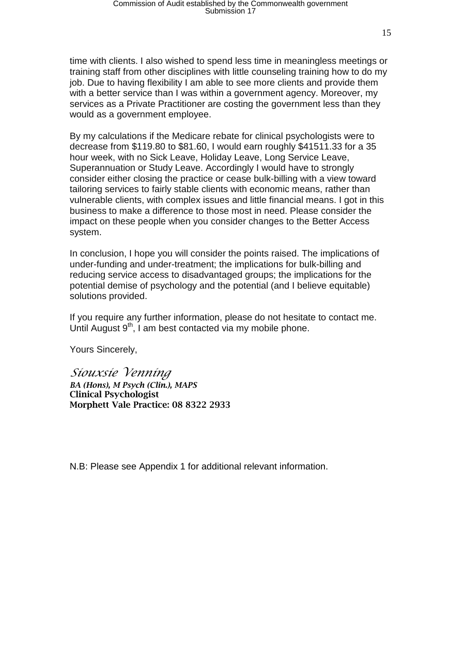time with clients. I also wished to spend less time in meaningless meetings or training staff from other disciplines with little counseling training how to do my job. Due to having flexibility I am able to see more clients and provide them with a better service than I was within a government agency. Moreover, my services as a Private Practitioner are costing the government less than they would as a government employee.

By my calculations if the Medicare rebate for clinical psychologists were to decrease from \$119.80 to \$81.60, I would earn roughly \$41511.33 for a 35 hour week, with no Sick Leave, Holiday Leave, Long Service Leave, Superannuation or Study Leave. Accordingly I would have to strongly consider either closing the practice or cease bulk-billing with a view toward tailoring services to fairly stable clients with economic means, rather than vulnerable clients, with complex issues and little financial means. I got in this business to make a difference to those most in need. Please consider the impact on these people when you consider changes to the Better Access system.

In conclusion, I hope you will consider the points raised. The implications of under-funding and under-treatment; the implications for bulk-billing and reducing service access to disadvantaged groups; the implications for the potential demise of psychology and the potential (and I believe equitable) solutions provided.

If you require any further information, please do not hesitate to contact me. Until August  $9<sup>th</sup>$ , I am best contacted via my mobile phone.

Yours Sincerely,

*Siouxsie Venning BA (Hons), M Psych (Clin.), MAPS* Clinical Psychologist Morphett Vale Practice: 08 8322 2933

N.B: Please see Appendix 1 for additional relevant information.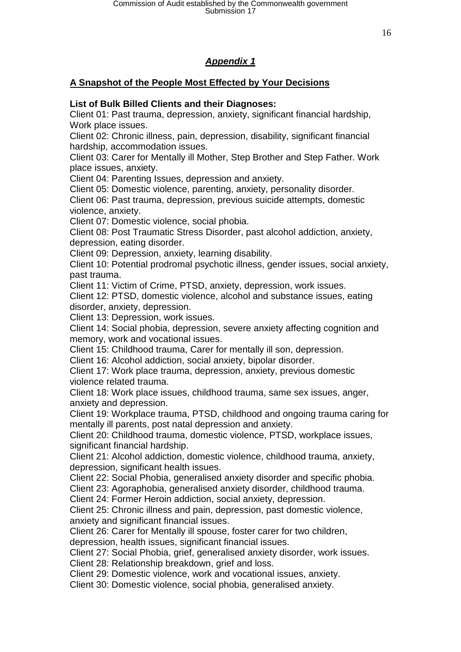## *Appendix 1*

## **A Snapshot of the People Most Effected by Your Decisions**

## **List of Bulk Billed Clients and their Diagnoses:**

Client 01: Past trauma, depression, anxiety, significant financial hardship, Work place issues.

Client 02: Chronic illness, pain, depression, disability, significant financial hardship, accommodation issues.

Client 03: Carer for Mentally ill Mother, Step Brother and Step Father. Work place issues, anxiety.

Client 04: Parenting Issues, depression and anxiety.

Client 05: Domestic violence, parenting, anxiety, personality disorder.

Client 06: Past trauma, depression, previous suicide attempts, domestic violence, anxiety.

Client 07: Domestic violence, social phobia.

Client 08: Post Traumatic Stress Disorder, past alcohol addiction, anxiety, depression, eating disorder.

Client 09: Depression, anxiety, learning disability.

Client 10: Potential prodromal psychotic illness, gender issues, social anxiety, past trauma.

Client 11: Victim of Crime, PTSD, anxiety, depression, work issues.

Client 12: PTSD, domestic violence, alcohol and substance issues, eating disorder, anxiety, depression.

Client 13: Depression, work issues.

Client 14: Social phobia, depression, severe anxiety affecting cognition and memory, work and vocational issues.

Client 15: Childhood trauma, Carer for mentally ill son, depression.

Client 16: Alcohol addiction, social anxiety, bipolar disorder.

Client 17: Work place trauma, depression, anxiety, previous domestic violence related trauma.

Client 18: Work place issues, childhood trauma, same sex issues, anger, anxiety and depression.

Client 19: Workplace trauma, PTSD, childhood and ongoing trauma caring for mentally ill parents, post natal depression and anxiety.

Client 20: Childhood trauma, domestic violence, PTSD, workplace issues, significant financial hardship.

Client 21: Alcohol addiction, domestic violence, childhood trauma, anxiety, depression, significant health issues.

Client 22: Social Phobia, generalised anxiety disorder and specific phobia.

Client 23: Agoraphobia, generalised anxiety disorder, childhood trauma.

Client 24: Former Heroin addiction, social anxiety, depression.

Client 25: Chronic illness and pain, depression, past domestic violence, anxiety and significant financial issues.

Client 26: Carer for Mentally ill spouse, foster carer for two children, depression, health issues, significant financial issues.

Client 27: Social Phobia, grief, generalised anxiety disorder, work issues.

Client 28: Relationship breakdown, grief and loss.

Client 29: Domestic violence, work and vocational issues, anxiety.

Client 30: Domestic violence, social phobia, generalised anxiety.